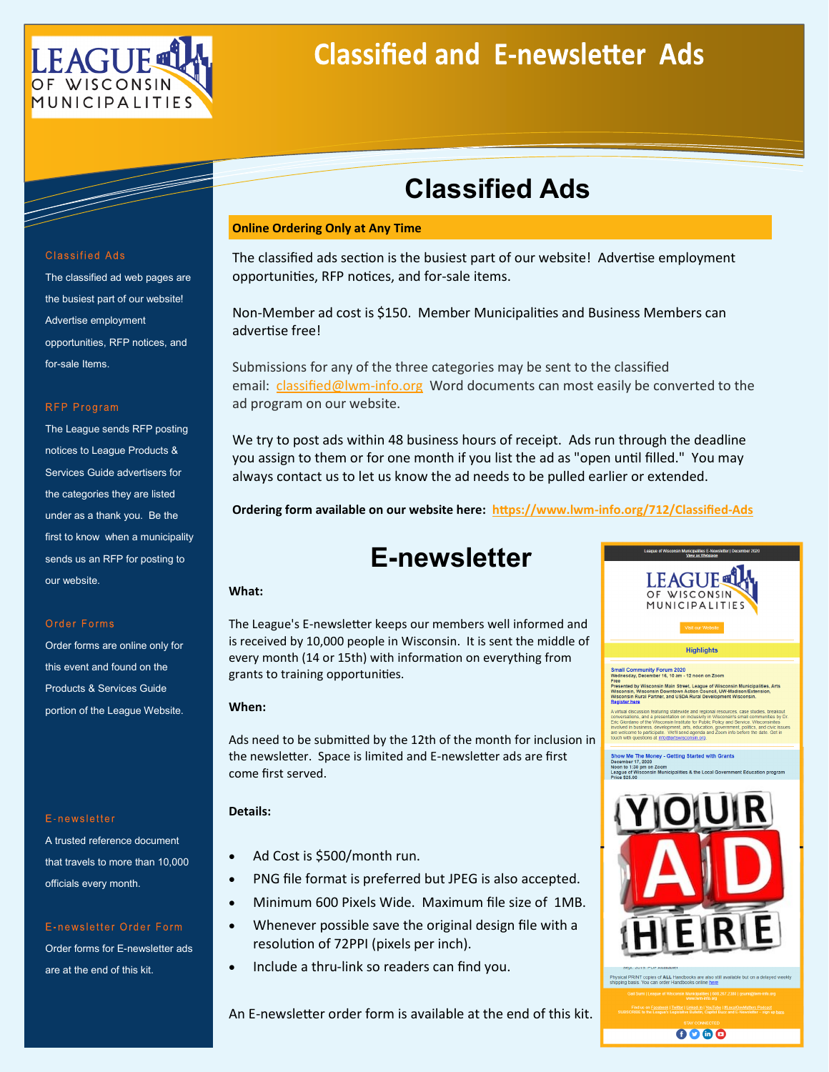

# **Classified and E-newsletter Ads**

## **Classified Ads**

#### **Online Ordering Only at Any Time**

The classified ads section is the busiest part of our website! Advertise employment opportunities, RFP notices, and for-sale items.

Non-Member ad cost is \$150. Member Municipalities and Business Members can advertise free!

Submissions for any of the three categories may be sent to the classified email: [classified@lwm](mailto:classified@lwm-info.org)-info.org Word documents can most easily be converted to the ad program on our website.

We try to post ads within 48 business hours of receipt. Ads run through the deadline you assign to them or for one month if you list the ad as "open until filled." You may always contact us to let us know the ad needs to be pulled earlier or extended.

**Ordering form available on our website here: https://www.lwm-[info.org/712/Classified](https://www.lwm-info.org/712/Classified-Ads)-Ads**

## **E-newsletter**

#### **What:**

The League's E-newsletter keeps our members well informed and is received by 10,000 people in Wisconsin. It is sent the middle of every month (14 or 15th) with information on everything from grants to training opportunities.

#### **When:**

Ads need to be submitted by the 12th of the month for inclusion in the newsletter. Space is limited and E-newsletter ads are first come first served.

#### **Details:**

- Ad Cost is \$500/month run.
- PNG file format is preferred but JPEG is also accepted.
- Minimum 600 Pixels Wide. Maximum file size of 1MB.
- Whenever possible save the original design file with a resolution of 72PPI (pixels per inch).
- Include a thru-link so readers can find you.

An E-newsletter order form is available at the end of this kit.



 $0000$ 

#### **Classified Ads**

The classified ad web pages are the busiest part of our website! Advertise employment opportunities, RFP notices, and for-sale Items.

#### **RFP Program**

The League sends RFP posting notices to League Products & Services Guide advertisers for the categories they are listed under as a thank you. Be the first to know when a municipality sends us an RFP for posting to our website.

#### Order Forms

Order forms are online only for this event and found on the Products & Services Guide portion of the League Website.

#### E-newsletter

A trusted reference document that travels to more than 10,000 officials every month.

### E-newsletter Order Form Order forms for E-newsletter ads are at the end of this kit.